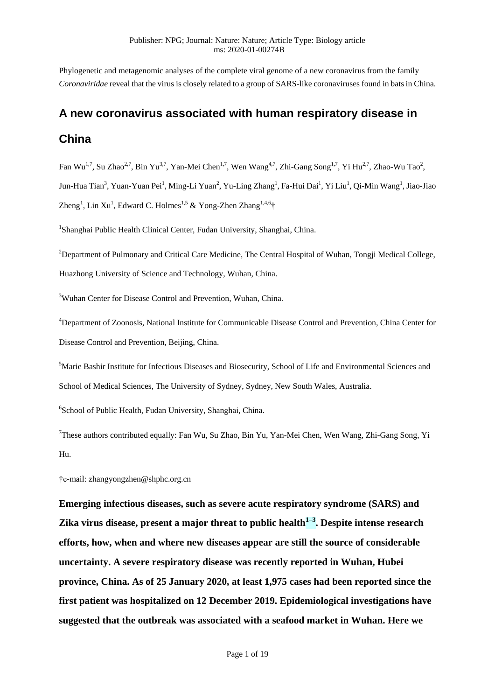Phylogenetic and metagenomic analyses of the complete viral genome of a new coronavirus from the family *Coronaviridae* reveal that the virus is closely related to a group of SARS-like coronaviruses found in bats in China.

## **A new coronavirus associated with human respiratory disease in**

## **China**

Fan Wu<sup>1,7</sup>, Su Zhao<sup>2,7</sup>, Bin Yu<sup>3,7</sup>, Yan-Mei Chen<sup>1,7</sup>, Wen Wang<sup>4,7</sup>, Zhi-Gang Song<sup>1,7</sup>, Yi Hu<sup>2,7</sup>, Zhao-Wu Tao<sup>2</sup>, Jun-Hua Tian<sup>3</sup>, Yuan-Yuan Pei<sup>1</sup>, Ming-Li Yuan<sup>2</sup>, Yu-Ling Zhang<sup>1</sup>, Fa-Hui Dai<sup>1</sup>, Yi Liu<sup>1</sup>, Qi-Min Wang<sup>1</sup>, Jiao-Jiao Zheng<sup>1</sup>, Lin Xu<sup>1</sup>, Edward C. Holmes<sup>1,5</sup> & Yong-Zhen Zhang<sup>1,4,6</sup>†

<sup>1</sup>Shanghai Public Health Clinical Center, Fudan University, Shanghai, China.

<sup>2</sup>Department of Pulmonary and Critical Care Medicine, The Central Hospital of Wuhan, Tongji Medical College, Huazhong University of Science and Technology, Wuhan, China.

<sup>3</sup>Wuhan Center for Disease Control and Prevention, Wuhan, China.

<sup>4</sup>Department of Zoonosis, National Institute for Communicable Disease Control and Prevention, China Center for Disease Control and Prevention, Beijing, China.

<sup>5</sup>Marie Bashir Institute for Infectious Diseases and Biosecurity, School of Life and Environmental Sciences and School of Medical Sciences, The University of Sydney, Sydney, New South Wales, Australia.

6 School of Public Health, Fudan University, Shanghai, China.

<sup>7</sup>These authors contributed equally: Fan Wu, Su Zhao, Bin Yu, Yan-Mei Chen, Wen Wang, Zhi-Gang Song, Yi Hu.

†e-mail: zhangyongzhen@shphc.org.cn

**Emerging infectious diseases, such as severe acute respiratory syndrome (SARS) and Zika virus disease, present a major threat to public health1–3 . Despite intense research efforts, how, when and where new diseases appear are still the source of considerable uncertainty. A severe respiratory disease was recently reported in Wuhan, Hubei province, China. As of 25 January 2020, at least 1,975 cases had been reported since the first patient was hospitalized on 12 December 2019. Epidemiological investigations have suggested that the outbreak was associated with a seafood market in Wuhan. Here we**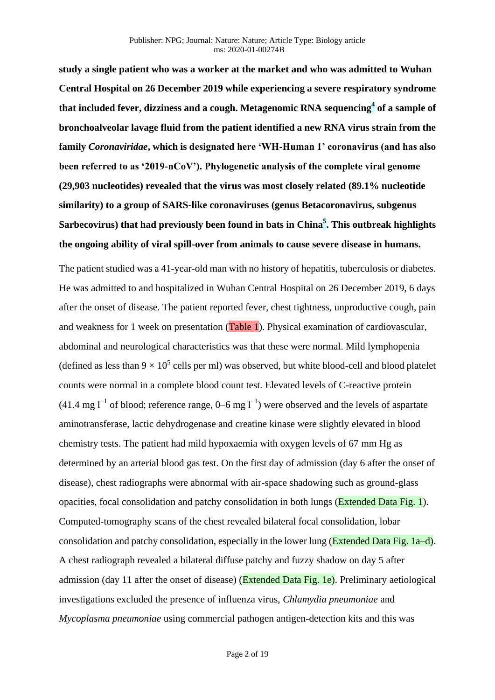**study a single patient who was a worker at the market and who was admitted to Wuhan Central Hospital on 26 December 2019 while experiencing a severe respiratory syndrome that included fever, dizziness and a cough. Metagenomic RNA sequencing<sup>4</sup> of a sample of bronchoalveolar lavage fluid from the patient identified a new RNA virus strain from the family** *Coronaviridae***, which is designated here 'WH-Human 1' coronavirus (and has also been referred to as '2019-nCoV'). Phylogenetic analysis of the complete viral genome (29,903 nucleotides) revealed that the virus was most closely related (89.1% nucleotide similarity) to a group of SARS-like coronaviruses (genus Betacoronavirus, subgenus Sarbecovirus) that had previously been found in bats in China<sup>5</sup> . This outbreak highlights the ongoing ability of viral spill-over from animals to cause severe disease in humans.**

The patient studied was a 41-year-old man with no history of hepatitis, tuberculosis or diabetes. He was admitted to and hospitalized in Wuhan Central Hospital on 26 December 2019, 6 days after the onset of disease. The patient reported fever, chest tightness, unproductive cough, pain and weakness for 1 week on presentation (Table 1). Physical examination of cardiovascular, abdominal and neurological characteristics was that these were normal. Mild lymphopenia (defined as less than  $9 \times 10^5$  cells per ml) was observed, but white blood-cell and blood platelet counts were normal in a complete blood count test. Elevated levels of C-reactive protein (41.4 mg  $l^{-1}$  of blood; reference range, 0–6 mg  $l^{-1}$ ) were observed and the levels of aspartate aminotransferase, lactic dehydrogenase and creatine kinase were slightly elevated in blood chemistry tests. The patient had mild hypoxaemia with oxygen levels of 67 mm Hg as determined by an arterial blood gas test. On the first day of admission (day 6 after the onset of disease), chest radiographs were abnormal with air-space shadowing such as ground-glass opacities, focal consolidation and patchy consolidation in both lungs (Extended Data Fig. 1). Computed-tomography scans of the chest revealed bilateral focal consolidation, lobar consolidation and patchy consolidation, especially in the lower lung (Extended Data Fig. 1a–d). A chest radiograph revealed a bilateral diffuse patchy and fuzzy shadow on day 5 after admission (day 11 after the onset of disease) (Extended Data Fig. 1e). Preliminary aetiological investigations excluded the presence of influenza virus, *Chlamydia pneumoniae* and *Mycoplasma pneumoniae* using commercial pathogen antigen-detection kits and this was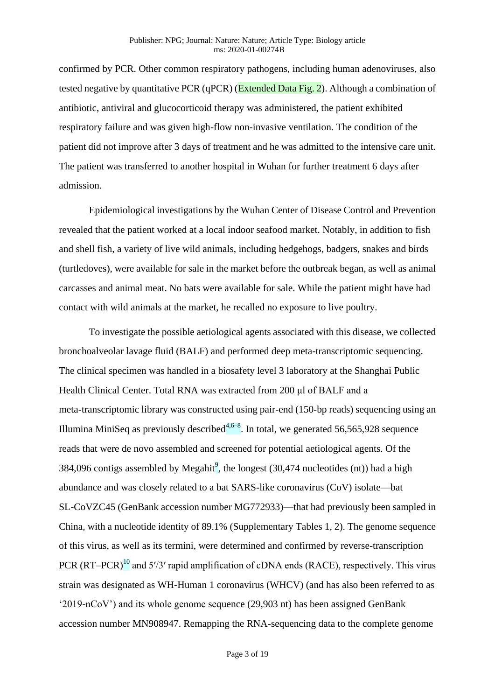confirmed by PCR. Other common respiratory pathogens, including human adenoviruses, also tested negative by quantitative PCR (qPCR) (Extended Data Fig. 2). Although a combination of antibiotic, antiviral and glucocorticoid therapy was administered, the patient exhibited respiratory failure and was given high-flow non-invasive ventilation. The condition of the patient did not improve after 3 days of treatment and he was admitted to the intensive care unit. The patient was transferred to another hospital in Wuhan for further treatment 6 days after admission.

Epidemiological investigations by the Wuhan Center of Disease Control and Prevention revealed that the patient worked at a local indoor seafood market. Notably, in addition to fish and shell fish, a variety of live wild animals, including hedgehogs, badgers, snakes and birds (turtledoves), were available for sale in the market before the outbreak began, as well as animal carcasses and animal meat. No bats were available for sale. While the patient might have had contact with wild animals at the market, he recalled no exposure to live poultry.

To investigate the possible aetiological agents associated with this disease, we collected bronchoalveolar lavage fluid (BALF) and performed deep meta-transcriptomic sequencing. The clinical specimen was handled in a biosafety level 3 laboratory at the Shanghai Public Health Clinical Center. Total RNA was extracted from 200 μl of BALF and a meta-transcriptomic library was constructed using pair-end (150-bp reads) sequencing using an Illumina MiniSeq as previously described $4,6-8$ . In total, we generated 56,565,928 sequence reads that were de novo assembled and screened for potential aetiological agents. Of the 384,096 contigs assembled by Megahit<sup>9</sup>, the longest  $(30,474$  nucleotides  $(nt)$ ) had a high abundance and was closely related to a bat SARS-like coronavirus (CoV) isolate—bat SL-CoVZC45 (GenBank accession number MG772933)—that had previously been sampled in China, with a nucleotide identity of 89.1% (Supplementary Tables 1, 2). The genome sequence of this virus, as well as its termini, were determined and confirmed by reverse-transcription PCR (RT–PCR)<sup>10</sup> and 5′/3′ rapid amplification of cDNA ends (RACE), respectively. This virus strain was designated as WH-Human 1 coronavirus (WHCV) (and has also been referred to as '2019-nCoV') and its whole genome sequence (29,903 nt) has been assigned GenBank accession number MN908947. Remapping the RNA-sequencing data to the complete genome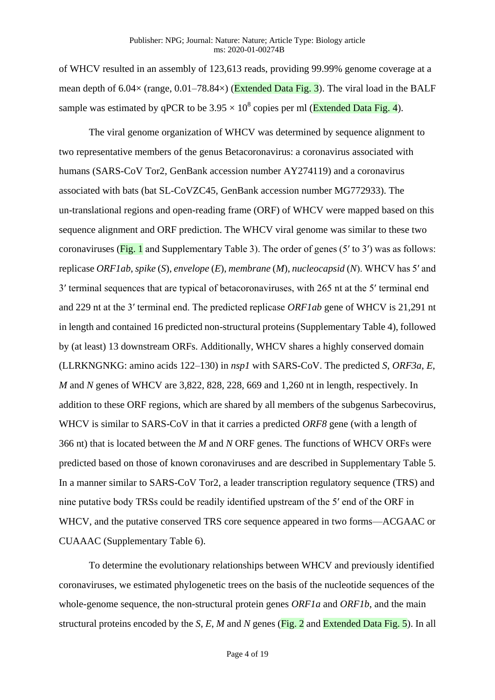of WHCV resulted in an assembly of 123,613 reads, providing 99.99% genome coverage at a mean depth of  $6.04 \times$  (range,  $0.01-78.84 \times$ ) (Extended Data Fig. 3). The viral load in the BALF sample was estimated by qPCR to be  $3.95 \times 10^8$  copies per ml (Extended Data Fig. 4).

The viral genome organization of WHCV was determined by sequence alignment to two representative members of the genus Betacoronavirus: a coronavirus associated with humans (SARS-CoV Tor2, GenBank accession number AY274119) and a coronavirus associated with bats (bat SL-CoVZC45, GenBank accession number MG772933). The un-translational regions and open-reading frame (ORF) of WHCV were mapped based on this sequence alignment and ORF prediction. The WHCV viral genome was similar to these two coronaviruses (Fig. 1 and Supplementary Table 3). The order of genes (5′ to 3′) was as follows: replicase *ORF1ab*, *spike* (*S*), *envelope* (*E*), *membrane* (*M*), *nucleocapsid* (*N*). WHCV has 5′ and 3′ terminal sequences that are typical of betacoronaviruses, with 265 nt at the 5′ terminal end and 229 nt at the 3′ terminal end. The predicted replicase *ORF1ab* gene of WHCV is 21,291 nt in length and contained 16 predicted non-structural proteins (Supplementary Table 4), followed by (at least) 13 downstream ORFs. Additionally, WHCV shares a highly conserved domain (LLRKNGNKG: amino acids 122–130) in *nsp1* with SARS-CoV. The predicted *S*, *ORF3a*, *E*, *M* and *N* genes of WHCV are 3,822, 828, 228, 669 and 1,260 nt in length, respectively. In addition to these ORF regions, which are shared by all members of the subgenus Sarbecovirus, WHCV is similar to SARS-CoV in that it carries a predicted *ORF8* gene (with a length of 366 nt) that is located between the *M* and *N* ORF genes. The functions of WHCV ORFs were predicted based on those of known coronaviruses and are described in Supplementary Table 5. In a manner similar to SARS-CoV Tor2, a leader transcription regulatory sequence (TRS) and nine putative body TRSs could be readily identified upstream of the 5′ end of the ORF in WHCV, and the putative conserved TRS core sequence appeared in two forms—ACGAAC or CUAAAC (Supplementary Table 6).

To determine the evolutionary relationships between WHCV and previously identified coronaviruses, we estimated phylogenetic trees on the basis of the nucleotide sequences of the whole-genome sequence, the non-structural protein genes *ORF1a* and *ORF1b*, and the main structural proteins encoded by the *S*, *E*, *M* and *N* genes (Fig. 2 and Extended Data Fig. 5). In all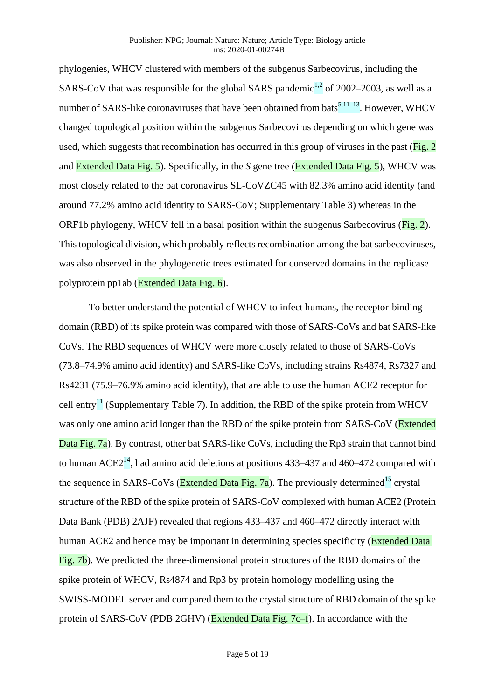phylogenies, WHCV clustered with members of the subgenus Sarbecovirus, including the SARS-CoV that was responsible for the global SARS pandemic<sup>1,2</sup> of 2002–2003, as well as a number of SARS-like coronaviruses that have been obtained from bats<sup>5,11–13</sup>. However, WHCV changed topological position within the subgenus Sarbecovirus depending on which gene was used, which suggests that recombination has occurred in this group of viruses in the past (Fig. 2) and Extended Data Fig. 5). Specifically, in the *S* gene tree (Extended Data Fig. 5), WHCV was most closely related to the bat coronavirus SL-CoVZC45 with 82.3% amino acid identity (and around 77.2% amino acid identity to SARS-CoV; Supplementary Table 3) whereas in the ORF1b phylogeny, WHCV fell in a basal position within the subgenus Sarbecovirus (Fig. 2). This topological division, which probably reflects recombination among the bat sarbecoviruses, was also observed in the phylogenetic trees estimated for conserved domains in the replicase polyprotein pp1ab (Extended Data Fig. 6).

To better understand the potential of WHCV to infect humans, the receptor-binding domain (RBD) of its spike protein was compared with those of SARS-CoVs and bat SARS-like CoVs. The RBD sequences of WHCV were more closely related to those of SARS-CoVs (73.8–74.9% amino acid identity) and SARS-like CoVs, including strains Rs4874, Rs7327 and Rs4231 (75.9–76.9% amino acid identity), that are able to use the human ACE2 receptor for cell entry<sup>11</sup> (Supplementary Table 7). In addition, the RBD of the spike protein from WHCV was only one amino acid longer than the RBD of the spike protein from SARS-CoV (Extended Data Fig. 7a). By contrast, other bat SARS-like CoVs, including the Rp3 strain that cannot bind to human  $ACE2<sup>14</sup>$ , had amino acid deletions at positions 433–437 and 460–472 compared with the sequence in SARS-CoVs (Extended Data Fig. 7a). The previously determined<sup>15</sup> crystal structure of the RBD of the spike protein of SARS-CoV complexed with human ACE2 (Protein Data Bank (PDB) 2AJF) revealed that regions 433–437 and 460–472 directly interact with human ACE2 and hence may be important in determining species specificity (Extended Data Fig. 7b). We predicted the three-dimensional protein structures of the RBD domains of the spike protein of WHCV, Rs4874 and Rp3 by protein homology modelling using the SWISS-MODEL server and compared them to the crystal structure of RBD domain of the spike protein of SARS-CoV (PDB 2GHV) (Extended Data Fig. 7c–f). In accordance with the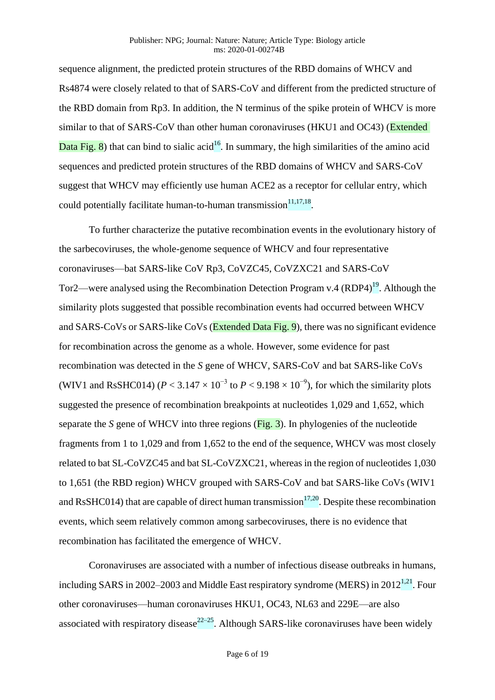sequence alignment, the predicted protein structures of the RBD domains of WHCV and Rs4874 were closely related to that of SARS-CoV and different from the predicted structure of the RBD domain from Rp3. In addition, the N terminus of the spike protein of WHCV is more similar to that of SARS-CoV than other human coronaviruses (HKU1 and OC43) (Extended Data Fig. 8) that can bind to sialic acid<sup>16</sup>. In summary, the high similarities of the amino acid sequences and predicted protein structures of the RBD domains of WHCV and SARS-CoV suggest that WHCV may efficiently use human ACE2 as a receptor for cellular entry, which could potentially facilitate human-to-human transmission $11,17,18$ .

To further characterize the putative recombination events in the evolutionary history of the sarbecoviruses, the whole-genome sequence of WHCV and four representative coronaviruses—bat SARS-like CoV Rp3, CoVZC45, CoVZXC21 and SARS-CoV Tor2—were analysed using the Recombination Detection Program v.4 (RDP4)<sup>19</sup>. Although the similarity plots suggested that possible recombination events had occurred between WHCV and SARS-CoVs or SARS-like CoVs (Extended Data Fig. 9), there was no significant evidence for recombination across the genome as a whole. However, some evidence for past recombination was detected in the *S* gene of WHCV, SARS-CoV and bat SARS-like CoVs (WIV1 and RsSHC014) ( $P < 3.147 \times 10^{-3}$  to  $P < 9.198 \times 10^{-9}$ ), for which the similarity plots suggested the presence of recombination breakpoints at nucleotides 1,029 and 1,652, which separate the *S* gene of WHCV into three regions (Fig. 3). In phylogenies of the nucleotide fragments from 1 to 1,029 and from 1,652 to the end of the sequence, WHCV was most closely related to bat SL-CoVZC45 and bat SL-CoVZXC21, whereas in the region of nucleotides 1,030 to 1,651 (the RBD region) WHCV grouped with SARS-CoV and bat SARS-like CoVs (WIV1 and RsSHC014) that are capable of direct human transmission<sup>17,20</sup>. Despite these recombination events, which seem relatively common among sarbecoviruses, there is no evidence that recombination has facilitated the emergence of WHCV.

Coronaviruses are associated with a number of infectious disease outbreaks in humans, including SARS in 2002–2003 and Middle East respiratory syndrome (MERS) in  $2012^{1,21}$ . Four other coronaviruses—human coronaviruses HKU1, OC43, NL63 and 229E—are also associated with respiratory disease<sup>22–25</sup>. Although SARS-like coronaviruses have been widely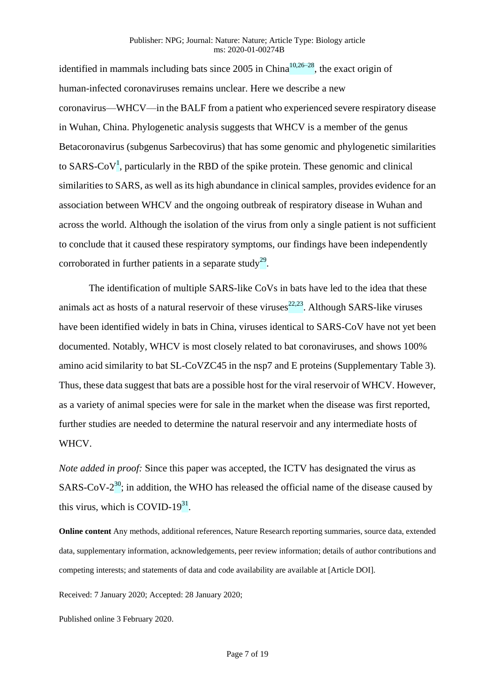identified in mammals including bats since 2005 in China<sup>10,26–28</sup>, the exact origin of human-infected coronaviruses remains unclear. Here we describe a new coronavirus—WHCV—in the BALF from a patient who experienced severe respiratory disease in Wuhan, China. Phylogenetic analysis suggests that WHCV is a member of the genus Betacoronavirus (subgenus Sarbecovirus) that has some genomic and phylogenetic similarities to SARS-CoV<sup>1</sup>, particularly in the RBD of the spike protein. These genomic and clinical similarities to SARS, as well as its high abundance in clinical samples, provides evidence for an association between WHCV and the ongoing outbreak of respiratory disease in Wuhan and across the world. Although the isolation of the virus from only a single patient is not sufficient to conclude that it caused these respiratory symptoms, our findings have been independently corroborated in further patients in a separate study<sup>29</sup>.

The identification of multiple SARS-like CoVs in bats have led to the idea that these animals act as hosts of a natural reservoir of these viruses $^{22,23}$ . Although SARS-like viruses have been identified widely in bats in China, viruses identical to SARS-CoV have not yet been documented. Notably, WHCV is most closely related to bat coronaviruses, and shows 100% amino acid similarity to bat SL-CoVZC45 in the nsp7 and E proteins (Supplementary Table 3). Thus, these data suggest that bats are a possible host for the viral reservoir of WHCV. However, as a variety of animal species were for sale in the market when the disease was first reported, further studies are needed to determine the natural reservoir and any intermediate hosts of WHCV.

*Note added in proof:* Since this paper was accepted, the ICTV has designated the virus as SARS-CoV- $2^{30}$ ; in addition, the WHO has released the official name of the disease caused by this virus, which is COVID-19 $31$ .

**Online content** Any methods, additional references, Nature Research reporting summaries, source data, extended data, supplementary information, acknowledgements, peer review information; details of author contributions and competing interests; and statements of data and code availability are available at [Article DOI].

Received: 7 January 2020; Accepted: 28 January 2020;

Published online 3 February 2020.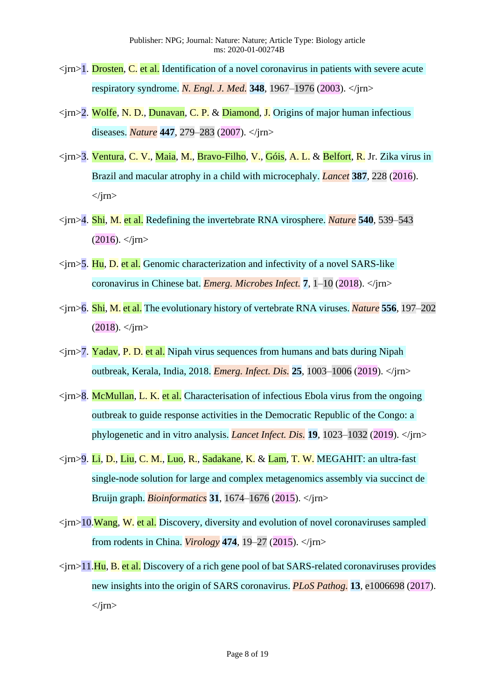- $\langle \text{irn>1. Drosten, C.}$  et al. Identification of a novel coronavirus in patients with severe acute respiratory syndrome. *N. Engl. J. Med.* **348**, 1967–1976 (2003). </jrn>
- $\langle \text{irn} \rangle$  2. Wolfe, N. D., Dunavan, C. P. & Diamond, J. Origins of major human infectious diseases. *Nature* **447**, 279–283 (2007). </jrn>
- <jrn>3. Ventura, C. V., Maia, M., Bravo-Filho, V., Góis, A. L. & Belfort, R. Jr. Zika virus in Brazil and macular atrophy in a child with microcephaly. *Lancet* **387**, 228 (2016).  $\langle$ irn $\rangle$
- <jrn>4. Shi, M. et al. Redefining the invertebrate RNA virosphere. *Nature* **540**, 539–543  $(2016)$ .  $\langle$ jm>
- $\langle$ irn>5. Hu, D. et al. Genomic characterization and infectivity of a novel SARS-like coronavirus in Chinese bat. *Emerg. Microbes Infect.* **7**, 1–10 (2018). </jrn>
- <jrn>6. Shi, M. et al. The evolutionary history of vertebrate RNA viruses. *Nature* **556**, 197–202  $(2018)$ .  $\langle$ irn>
- $\langle \text{irn} \rangle$ 7. Yadav, P. D. et al. Nipah virus sequences from humans and bats during Nipah outbreak, Kerala, India, 2018. *Emerg. Infect. Dis.* **25**, 1003–1006 (2019). </jrn>
- $\langle \text{irm} \rangle$ 8. McMullan, L. K. et al. Characterisation of infectious Ebola virus from the ongoing outbreak to guide response activities in the Democratic Republic of the Congo: a phylogenetic and in vitro analysis. *Lancet Infect. Dis.* **19**, 1023–1032 (2019). </jrn>
- <jrn>9. Li, D., Liu, C. M., Luo, R., Sadakane, K. & Lam, T. W. MEGAHIT: an ultra-fast single-node solution for large and complex metagenomics assembly via succinct de Bruijn graph. *Bioinformatics* **31**, 1674–1676 (2015). </jrn>
- $\langle \text{irn}>10$ . Wang, W. et al. Discovery, diversity and evolution of novel coronaviruses sampled from rodents in China. *Virology* **474**, 19–27 (2015). </jrn>
- $\langle \text{irn} \rangle$  11.Hu, B. et al. Discovery of a rich gene pool of bat SARS-related coronaviruses provides new insights into the origin of SARS coronavirus. *PLoS Pathog.* **13**, e1006698 (2017).  $\langle$ irn $\rangle$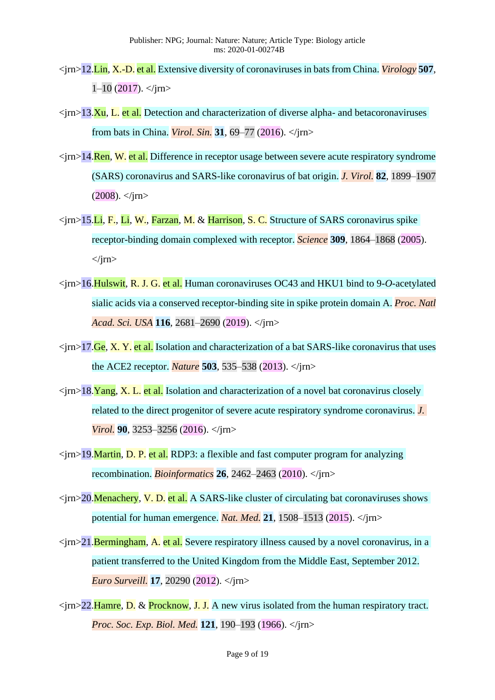- <jrn>12.Lin, X.-D. et al. Extensive diversity of coronaviruses in bats from China. *Virology* **507**,  $1-10$  (2017).  $\langle$ irn>
- $\langle \text{irn} \rangle$   $\geq$  13.Xu, L. et al. Detection and characterization of diverse alpha- and betacoronaviruses from bats in China. *Virol. Sin.* **31**, 69–77 (2016). </jrn>
- $\langle \text{irn} \rangle$  14. Ren, W. et al. Difference in receptor usage between severe acute respiratory syndrome (SARS) coronavirus and SARS-like coronavirus of bat origin. *J. Virol.* **82**, 1899–1907  $(2008)$ .  $\langle$ irn>
- $\langle \text{cm} \rangle$  15.Li, F., Li, W., Farzan, M. & Harrison, S. C. Structure of SARS coronavirus spike receptor-binding domain complexed with receptor. *Science* **309**, 1864–1868 (2005).  $\langle$ irn $\rangle$
- <jrn>16.Hulswit, R. J. G. et al. Human coronaviruses OC43 and HKU1 bind to 9-*O*-acetylated sialic acids via a conserved receptor-binding site in spike protein domain A. *Proc. Natl Acad. Sci. USA* **116**, 2681–2690 (2019). </jrn>
- $\langle \text{irn} \rangle$  17. Ge, X. Y. et al. Isolation and characterization of a bat SARS-like coronavirus that uses the ACE2 receptor. *Nature* **503**, 535–538 (2013). </jrn>
- $\langle \text{irn} \rangle$  18. Yang, X. L. et al. Isolation and characterization of a novel bat coronavirus closely related to the direct progenitor of severe acute respiratory syndrome coronavirus. *J. Virol.* **90**, 3253–3256 (2016). </*jrn>*
- <jrn>19.Martin, D. P. et al. RDP3: a flexible and fast computer program for analyzing recombination. *Bioinformatics* **26**, 2462–2463 (2010). </jrn>
- $\langle \text{im} \rangle$  20. Menachery, V. D. et al. A SARS-like cluster of circulating bat coronaviruses shows potential for human emergence. *Nat. Med.* **21**, 1508–1513 (2015). </jrn>
- $\langle \text{irn} \rangle$  -21. Bermingham, A. et al. Severe respiratory illness caused by a novel coronavirus, in a patient transferred to the United Kingdom from the Middle East, September 2012. *Euro Surveill.* **17**, 20290 (2012). </jrn>
- $\langle \text{tr} \rangle$  22. Hamre, D. & Procknow, J. J. A new virus isolated from the human respiratory tract. *Proc. Soc. Exp. Biol. Med.* **121**, 190–193 (1966). </jrn>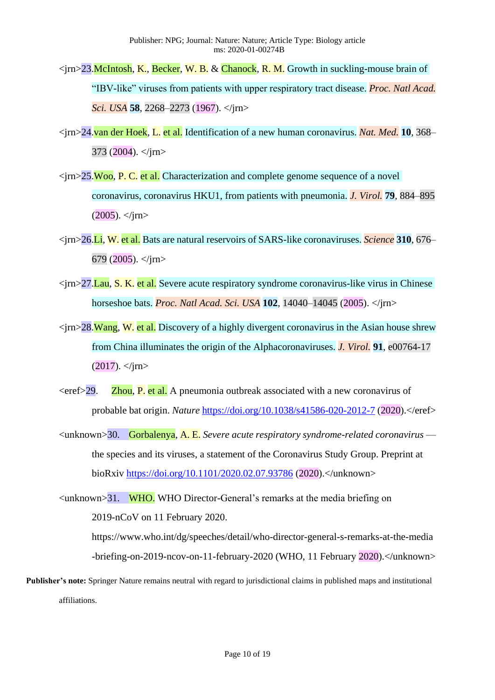- $\langle \text{irn} \rangle$  23. McIntosh, K., Becker, W. B. & Chanock, R. M. Growth in suckling-mouse brain of "IBV-like" viruses from patients with upper respiratory tract disease. *Proc. Natl Acad. Sci. USA* **58**, 2268–2273 (1967). </jrn>
- <jrn>24.van der Hoek, L. et al. Identification of a new human coronavirus. *Nat. Med.* **10**, 368–  $373$  (2004).  $\langle$ irn>
- $\langle \text{irn} \rangle$ 25.Woo, P. C. et al. Characterization and complete genome sequence of a novel coronavirus, coronavirus HKU1, from patients with pneumonia. *J. Virol.* **79**, 884–895  $(2005)$ .  $\langle$ irn>
- <jrn>26.Li, W. et al. Bats are natural reservoirs of SARS-like coronaviruses. *Science* **310**, 676– 679 (2005).  $\langle$ irn>
- $\langle \text{irn} \rangle$ 27. Lau, S. K. et al. Severe acute respiratory syndrome coronavirus-like virus in Chinese horseshoe bats. *Proc. Natl Acad. Sci. USA* **102**, 14040–14045 (2005). </jrn>
- $\langle \sin \rangle$  28. Wang, W. et al. Discovery of a highly divergent coronavirus in the Asian house shrew from China illuminates the origin of the Alphacoronaviruses. *J. Virol.* **91**, e00764-17  $(2017)$ .  $\langle$ irn>
- $\langle$ eref>29. **Zhou, P. et al.** A pneumonia outbreak associated with a new coronavirus of probable bat origin. *Nature* <https://doi.org/10.1038/s41586-020-2012-7> (2020).</eref>
- <unknown>30. Gorbalenya, A. E. *Severe acute respiratory syndrome-related coronavirus* the species and its viruses, a statement of the Coronavirus Study Group. Preprint at bioRxiv<https://doi.org/10.1101/2020.02.07.93786> (2020).</unknown>
- $\langle \text{unknown} \rangle$ 31. WHO. WHO Director-General's remarks at the media briefing on 2019-nCoV on 11 February 2020.

https://www.who.int/dg/speeches/detail/who-director-general-s-remarks-at-the-media -briefing-on-2019-ncov-on-11-february-2020 (WHO, 11 February 2020).</unknown>

**Publisher's note:** Springer Nature remains neutral with regard to jurisdictional claims in published maps and institutional affiliations.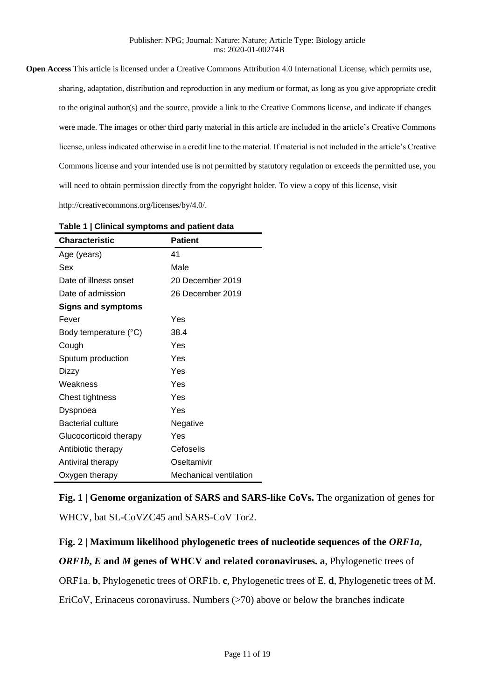**Open Access** This article is licensed under a Creative Commons Attribution 4.0 International License, which permits use, sharing, adaptation, distribution and reproduction in any medium or format, as long as you give appropriate credit to the original author(s) and the source, provide a link to the Creative Commons license, and indicate if changes were made. The images or other third party material in this article are included in the article's Creative Commons license, unless indicated otherwise in a credit line to the material. If material is not included in the article's Creative Commons license and your intended use is not permitted by statutory regulation or exceeds the permitted use, you will need to obtain permission directly from the copyright holder. To view a copy of this license, visit http://creativecommons.org/licenses/by/4.0/.

| <b>Characteristic</b>     | <b>Patient</b>         |
|---------------------------|------------------------|
| Age (years)               | 41                     |
| Sex                       | Male                   |
| Date of illness onset     | 20 December 2019       |
| Date of admission         | 26 December 2019       |
| <b>Signs and symptoms</b> |                        |
| Fever                     | Yes                    |
| Body temperature (°C)     | 38.4                   |
| Cough                     | Yes                    |
| Sputum production         | Yes                    |
| Dizzy                     | Yes                    |
| Weakness                  | Yes                    |
| Chest tightness           | Yes                    |
| Dyspnoea                  | Yes                    |
| <b>Bacterial culture</b>  | Negative               |
| Glucocorticoid therapy    | Yes                    |
| Antibiotic therapy        | Cefoselis              |
| Antiviral therapy         | Oseltamivir            |
| Oxygen therapy            | Mechanical ventilation |

**Table 1 | Clinical symptoms and patient data**

**Fig. 1 | Genome organization of SARS and SARS-like CoVs.** The organization of genes for WHCV, bat SL-CoVZC45 and SARS-CoV Tor2.

**Fig. 2 | Maximum likelihood phylogenetic trees of nucleotide sequences of the** *ORF1a***,** 

*ORF1b***,** *E* **and** *M* **genes of WHCV and related coronaviruses. a**, Phylogenetic trees of

ORF1a. **b**, Phylogenetic trees of ORF1b. **c**, Phylogenetic trees of E. **d**, Phylogenetic trees of M.

EriCoV, Erinaceus coronaviruss. Numbers (>70) above or below the branches indicate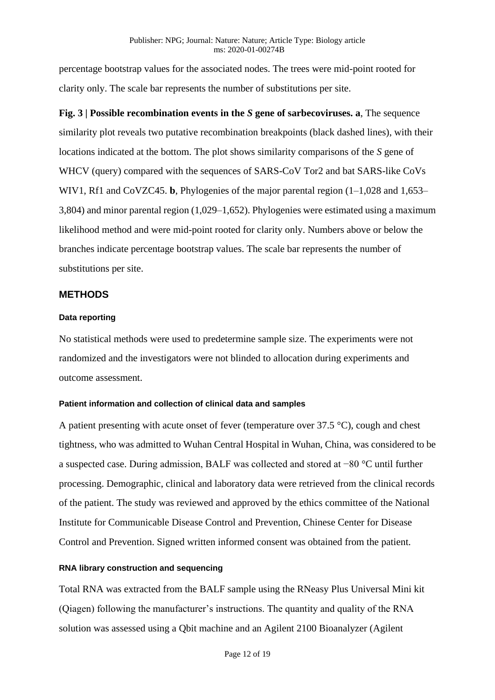percentage bootstrap values for the associated nodes. The trees were mid-point rooted for clarity only. The scale bar represents the number of substitutions per site.

**Fig. 3 | Possible recombination events in the** *S* **gene of sarbecoviruses. a**, The sequence similarity plot reveals two putative recombination breakpoints (black dashed lines), with their locations indicated at the bottom. The plot shows similarity comparisons of the *S* gene of WHCV (query) compared with the sequences of SARS-CoV Tor2 and bat SARS-like CoVs WIV1, Rf1 and CoVZC45. **b**, Phylogenies of the major parental region (1–1,028 and 1,653– 3,804) and minor parental region (1,029–1,652). Phylogenies were estimated using a maximum likelihood method and were mid-point rooted for clarity only. Numbers above or below the branches indicate percentage bootstrap values. The scale bar represents the number of substitutions per site.

## **METHODS**

## **Data reporting**

No statistical methods were used to predetermine sample size. The experiments were not randomized and the investigators were not blinded to allocation during experiments and outcome assessment.

## **Patient information and collection of clinical data and samples**

A patient presenting with acute onset of fever (temperature over 37.5 °C), cough and chest tightness, who was admitted to Wuhan Central Hospital in Wuhan, China, was considered to be a suspected case. During admission, BALF was collected and stored at −80 °C until further processing. Demographic, clinical and laboratory data were retrieved from the clinical records of the patient. The study was reviewed and approved by the ethics committee of the National Institute for Communicable Disease Control and Prevention, Chinese Center for Disease Control and Prevention. Signed written informed consent was obtained from the patient.

## **RNA library construction and sequencing**

Total RNA was extracted from the BALF sample using the RNeasy Plus Universal Mini kit (Qiagen) following the manufacturer's instructions. The quantity and quality of the RNA solution was assessed using a Qbit machine and an Agilent 2100 Bioanalyzer (Agilent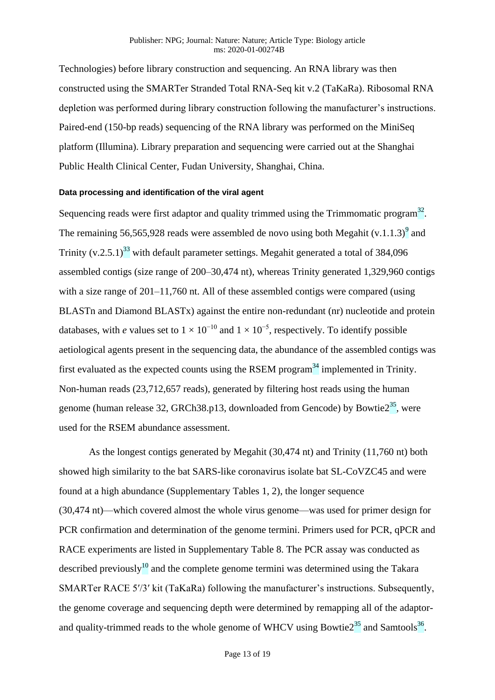Technologies) before library construction and sequencing. An RNA library was then constructed using the SMARTer Stranded Total RNA-Seq kit v.2 (TaKaRa). Ribosomal RNA depletion was performed during library construction following the manufacturer's instructions. Paired-end (150-bp reads) sequencing of the RNA library was performed on the MiniSeq platform (Illumina). Library preparation and sequencing were carried out at the Shanghai Public Health Clinical Center, Fudan University, Shanghai, China.

#### **Data processing and identification of the viral agent**

Sequencing reads were first adaptor and quality trimmed using the Trimmomatic program $^{32}$ . The remaining 56,565,928 reads were assembled de novo using both Megahit  $(v.1.1.3)^9$  and Trinity  $(v.2.5.1)^{33}$  with default parameter settings. Megahit generated a total of 384,096 assembled contigs (size range of 200–30,474 nt), whereas Trinity generated 1,329,960 contigs with a size range of 201–11,760 nt. All of these assembled contigs were compared (using BLASTn and Diamond BLASTx) against the entire non-redundant (nr) nucleotide and protein databases, with *e* values set to  $1 \times 10^{-10}$  and  $1 \times 10^{-5}$ , respectively. To identify possible aetiological agents present in the sequencing data, the abundance of the assembled contigs was first evaluated as the expected counts using the RSEM program<sup>34</sup> implemented in Trinity. Non-human reads (23,712,657 reads), generated by filtering host reads using the human genome (human release 32, GRCh38.p13, downloaded from Gencode) by Bowtie $2^{35}$ , were used for the RSEM abundance assessment.

As the longest contigs generated by Megahit (30,474 nt) and Trinity (11,760 nt) both showed high similarity to the bat SARS-like coronavirus isolate bat SL-CoVZC45 and were found at a high abundance (Supplementary Tables 1, 2), the longer sequence (30,474 nt)—which covered almost the whole virus genome—was used for primer design for PCR confirmation and determination of the genome termini. Primers used for PCR, qPCR and RACE experiments are listed in Supplementary Table 8. The PCR assay was conducted as described previously<sup>10</sup> and the complete genome termini was determined using the Takara SMARTer RACE 5′/3′ kit (TaKaRa) following the manufacturer's instructions. Subsequently, the genome coverage and sequencing depth were determined by remapping all of the adaptorand quality-trimmed reads to the whole genome of WHCV using Bowtie $2^{35}$  and Samtools<sup>36</sup>.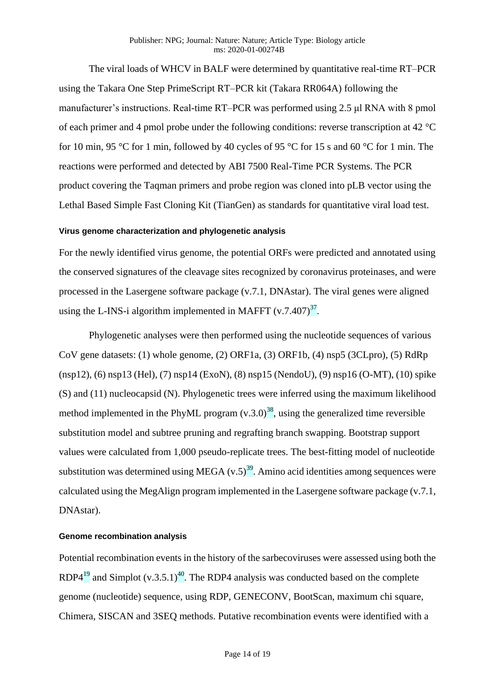#### Publisher: NPG; Journal: Nature: Nature; Article Type: Biology article ms: 2020-01-00274B

The viral loads of WHCV in BALF were determined by quantitative real-time RT–PCR using the Takara One Step PrimeScript RT–PCR kit (Takara RR064A) following the manufacturer's instructions. Real-time RT–PCR was performed using 2.5 μl RNA with 8 pmol of each primer and 4 pmol probe under the following conditions: reverse transcription at 42 °C for 10 min, 95 °C for 1 min, followed by 40 cycles of 95 °C for 15 s and 60 °C for 1 min. The reactions were performed and detected by ABI 7500 Real-Time PCR Systems. The PCR product covering the Taqman primers and probe region was cloned into pLB vector using the Lethal Based Simple Fast Cloning Kit (TianGen) as standards for quantitative viral load test.

#### **Virus genome characterization and phylogenetic analysis**

For the newly identified virus genome, the potential ORFs were predicted and annotated using the conserved signatures of the cleavage sites recognized by coronavirus proteinases, and were processed in the Lasergene software package (v.7.1, DNAstar). The viral genes were aligned using the L-INS-i algorithm implemented in MAFFT  $(v.7.407)^{37}$ .

Phylogenetic analyses were then performed using the nucleotide sequences of various CoV gene datasets: (1) whole genome, (2) ORF1a, (3) ORF1b, (4) nsp5 (3CLpro), (5) RdRp (nsp12), (6) nsp13 (Hel), (7) nsp14 (ExoN), (8) nsp15 (NendoU), (9) nsp16 (O-MT), (10) spike (S) and (11) nucleocapsid (N). Phylogenetic trees were inferred using the maximum likelihood method implemented in the PhyML program  $(v.3.0)^{38}$ , using the generalized time reversible substitution model and subtree pruning and regrafting branch swapping. Bootstrap support values were calculated from 1,000 pseudo-replicate trees. The best-fitting model of nucleotide substitution was determined using MEGA  $(v.5)^{39}$ . Amino acid identities among sequences were calculated using the MegAlign program implemented in the Lasergene software package (v.7.1, DNAstar).

#### **Genome recombination analysis**

Potential recombination events in the history of the sarbecoviruses were assessed using both the RDP4<sup>19</sup> and Simplot (v.3.5.1)<sup>40</sup>. The RDP4 analysis was conducted based on the complete genome (nucleotide) sequence, using RDP, GENECONV, BootScan, maximum chi square, Chimera, SISCAN and 3SEQ methods. Putative recombination events were identified with a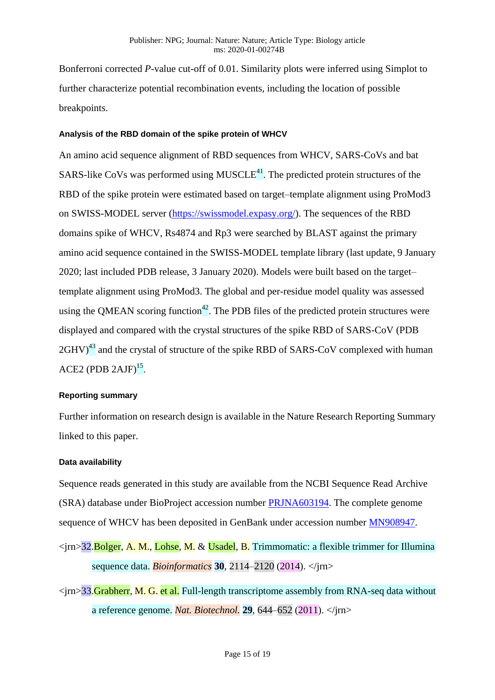Bonferroni corrected *P*-value cut-off of 0.01. Similarity plots were inferred using Simplot to further characterize potential recombination events, including the location of possible breakpoints.

## **Analysis of the RBD domain of the spike protein of WHCV**

An amino acid sequence alignment of RBD sequences from WHCV, SARS-CoVs and bat SARS-like CoVs was performed using  $MUSEE<sup>41</sup>$ . The predicted protein structures of the RBD of the spike protein were estimated based on target–template alignment using ProMod3 on SWISS-MODEL server [\(https://swissmodel.expasy.org/\)](https://swissmodel.expasy.org/). The sequences of the RBD domains spike of WHCV, Rs4874 and Rp3 were searched by BLAST against the primary amino acid sequence contained in the SWISS-MODEL template library (last update, 9 January 2020; last included PDB release, 3 January 2020). Models were built based on the target– template alignment using ProMod3. The global and per-residue model quality was assessed using the QMEAN scoring function<sup>42</sup>. The PDB files of the predicted protein structures were displayed and compared with the crystal structures of the spike RBD of SARS-CoV (PDB  $2GHV)^{43}$  and the crystal of structure of the spike RBD of SARS-CoV complexed with human  $ACE2 (PDB 2AJF)<sup>15</sup>$ .

#### **Reporting summary**

Further information on research design is available in the Nature Research Reporting Summary linked to this paper.

#### **Data availability**

Sequence reads generated in this study are available from the NCBI Sequence Read Archive (SRA) database under BioProject accession number [PRJNA603194.](http://www.ncbi.nlm.nih.gov/bioproject/?term=PRJNA603194) The complete genome sequence of WHCV has been deposited in GenBank under accession number [MN908947.](https://www.ncbi.nlm.nih.gov/gquery/?term=MN908947)

- <jrn>32.Bolger, A. M., Lohse, M. & Usadel, B. Trimmomatic: a flexible trimmer for Illumina sequence data. *Bioinformatics* **30**, 2114–2120 (2014). </jrn>
- $\langle \text{irm} \rangle$  33. Grabherr, M. G. et al. Full-length transcriptome assembly from RNA-seq data without a reference genome. *Nat. Biotechnol.* **29**, 644–652 (2011). </jrn>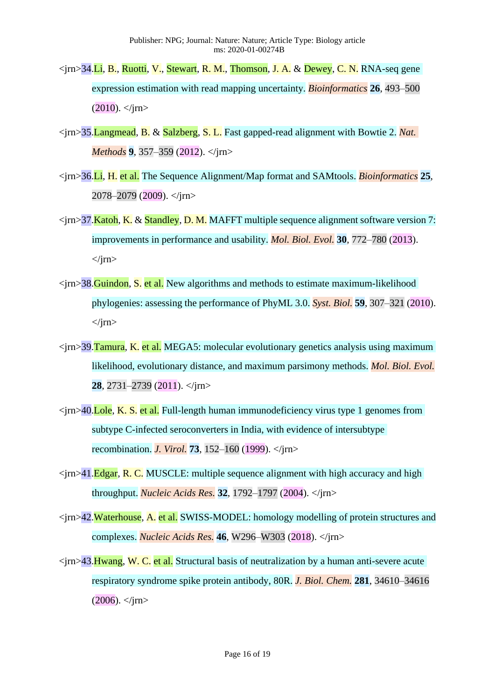- <jrn>34.Li, B., Ruotti, V., Stewart, R. M., Thomson, J. A. & Dewey, C. N. RNA-seq gene expression estimation with read mapping uncertainty. *Bioinformatics* **26**, 493–500  $(2010)$ .  $\langle$ irn>
- <jrn>35.Langmead, B. & Salzberg, S. L. Fast gapped-read alignment with Bowtie 2. *Nat. Methods* 9, 357–359 (2012). </*jrn>*
- <jrn>36.Li, H. et al. The Sequence Alignment/Map format and SAMtools. *Bioinformatics* **25**, 2078–2079 (2009). </jrn>
- $\langle \text{im} \rangle$ 37.Katoh, K. & Standley, D. M. MAFFT multiple sequence alignment software version 7: improvements in performance and usability. *Mol. Biol. Evol.* **30**, 772–780 (2013).  $\langle$ irn $\rangle$
- $\langle \text{im}\rangle$  38. Guindon, S. et al. New algorithms and methods to estimate maximum-likelihood phylogenies: assessing the performance of PhyML 3.0. *Syst. Biol.* **59**, 307–321 (2010).  $\langle$ jrn $\rangle$
- $\langle \text{im}\rangle$ 39.Tamura, K. et al. MEGA5: molecular evolutionary genetics analysis using maximum likelihood, evolutionary distance, and maximum parsimony methods. *Mol. Biol. Evol.* **28**, 2731–2739 (2011). </jrn>
- $\langle \text{tr} \rangle$  = 40. Lole, K. S. et al. Full-length human immunodeficiency virus type 1 genomes from subtype C-infected seroconverters in India, with evidence of intersubtype recombination. *J. Virol.* **73**, 152–160 (1999). </jrn>
- $\langle \text{irn>41}.\text{Edgar}, \text{R. C. MUSCLE: multiple sequence alignment with high accuracy and high}$ throughput. *Nucleic Acids Res.* **32**, 1792–1797 (2004). </jrn>
- <jrn>42.Waterhouse, A. et al. SWISS-MODEL: homology modelling of protein structures and complexes. *Nucleic Acids Res.* **46**, W296–W303 (2018). </jrn>
- $\langle \text{im}\rangle$  43. Hwang, W. C. et al. Structural basis of neutralization by a human anti-severe acute respiratory syndrome spike protein antibody, 80R. *J. Biol. Chem.* **281**, 34610–34616  $(2006)$ .  $\langle$ irn>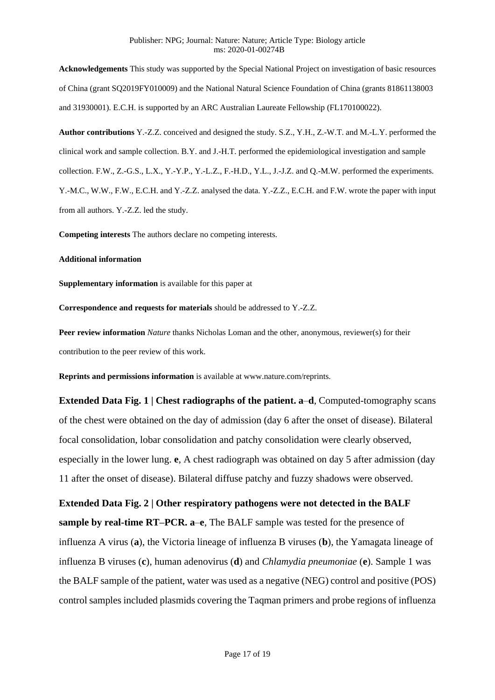**Acknowledgements** This study was supported by the Special National Project on investigation of basic resources of China (grant SQ2019FY010009) and the National Natural Science Foundation of China (grants 81861138003 and 31930001). E.C.H. is supported by an ARC Australian Laureate Fellowship (FL170100022).

**Author contributions** Y.-Z.Z. conceived and designed the study. S.Z., Y.H., Z.-W.T. and M.-L.Y. performed the clinical work and sample collection. B.Y. and J.-H.T. performed the epidemiological investigation and sample collection. F.W., Z.-G.S., L.X., Y.-Y.P., Y.-L.Z., F.-H.D., Y.L., J.-J.Z. and Q.-M.W. performed the experiments. Y.-M.C., W.W., F.W., E.C.H. and Y.-Z.Z. analysed the data. Y.-Z.Z., E.C.H. and F.W. wrote the paper with input from all authors. Y.-Z.Z. led the study.

**Competing interests** The authors declare no competing interests.

#### **Additional information**

**Supplementary information** is available for this paper at

**Correspondence and requests for materials** should be addressed to Y.-Z.Z.

**Peer review information** *Nature* thanks Nicholas Loman and the other, anonymous, reviewer(s) for their contribution to the peer review of this work.

**Reprints and permissions information** is available at www.nature.com/reprints.

**Extended Data Fig. 1 | Chest radiographs of the patient. a**–**d**, Computed-tomography scans of the chest were obtained on the day of admission (day 6 after the onset of disease). Bilateral focal consolidation, lobar consolidation and patchy consolidation were clearly observed, especially in the lower lung. **e**, A chest radiograph was obtained on day 5 after admission (day 11 after the onset of disease). Bilateral diffuse patchy and fuzzy shadows were observed.

**Extended Data Fig. 2 | Other respiratory pathogens were not detected in the BALF sample by real-time RT–PCR. a–e**, The BALF sample was tested for the presence of influenza A virus (**a**), the Victoria lineage of influenza B viruses (**b**), the Yamagata lineage of influenza B viruses (**c**), human adenovirus (**d**) and *Chlamydia pneumoniae* (**e**). Sample 1 was the BALF sample of the patient, water was used as a negative (NEG) control and positive (POS) control samples included plasmids covering the Taqman primers and probe regions of influenza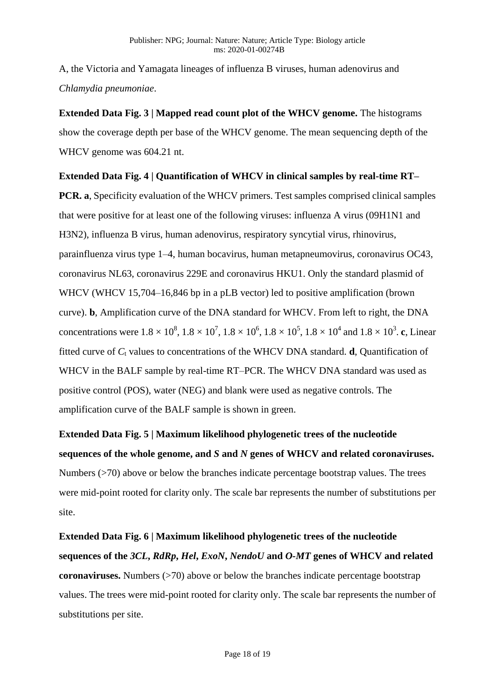A, the Victoria and Yamagata lineages of influenza B viruses, human adenovirus and *Chlamydia pneumoniae*.

**Extended Data Fig. 3 | Mapped read count plot of the WHCV genome.** The histograms show the coverage depth per base of the WHCV genome. The mean sequencing depth of the WHCV genome was 604.21 nt.

## **Extended Data Fig. 4 | Quantification of WHCV in clinical samples by real-time RT–**

**PCR. a**, Specificity evaluation of the WHCV primers. Test samples comprised clinical samples that were positive for at least one of the following viruses: influenza A virus (09H1N1 and H3N2), influenza B virus, human adenovirus, respiratory syncytial virus, rhinovirus, parainfluenza virus type 1–4, human bocavirus, human metapneumovirus, coronavirus OC43, coronavirus NL63, coronavirus 229E and coronavirus HKU1. Only the standard plasmid of WHCV (WHCV 15,704–16,846 bp in a pLB vector) led to positive amplification (brown curve). **b**, Amplification curve of the DNA standard for WHCV. From left to right, the DNA concentrations were  $1.8 \times 10^8$ ,  $1.8 \times 10^7$ ,  $1.8 \times 10^6$ ,  $1.8 \times 10^5$ ,  $1.8 \times 10^4$  and  $1.8 \times 10^3$ . c, Linear fitted curve of  $C_t$  values to concentrations of the WHCV DNA standard. **d**, Quantification of WHCV in the BALF sample by real-time RT–PCR. The WHCV DNA standard was used as positive control (POS), water (NEG) and blank were used as negative controls. The amplification curve of the BALF sample is shown in green.

**Extended Data Fig. 5 | Maximum likelihood phylogenetic trees of the nucleotide sequences of the whole genome, and** *S* **and** *N* **genes of WHCV and related coronaviruses.** Numbers (>70) above or below the branches indicate percentage bootstrap values. The trees were mid-point rooted for clarity only. The scale bar represents the number of substitutions per site.

**Extended Data Fig. 6 | Maximum likelihood phylogenetic trees of the nucleotide sequences of the** *3CL***,** *RdRp***,** *Hel***,** *ExoN***,** *NendoU* **and** *O-MT* **genes of WHCV and related coronaviruses.** Numbers (>70) above or below the branches indicate percentage bootstrap values. The trees were mid-point rooted for clarity only. The scale bar represents the number of substitutions per site.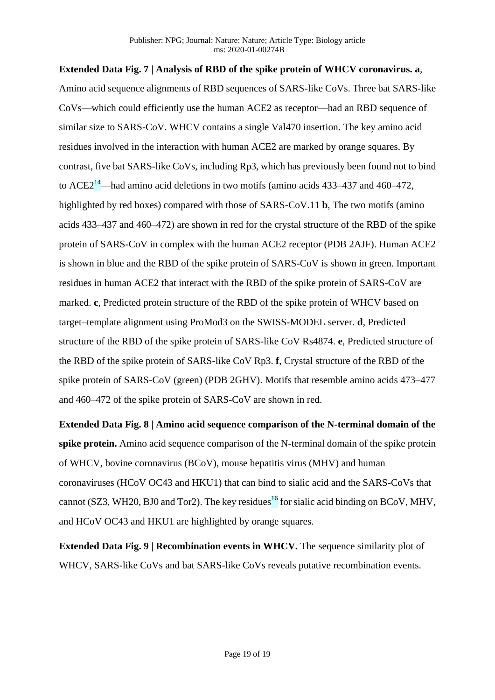# **Extended Data Fig. 7 | Analysis of RBD of the spike protein of WHCV coronavirus. a**, Amino acid sequence alignments of RBD sequences of SARS-like CoVs. Three bat SARS-like CoVs—which could efficiently use the human ACE2 as receptor—had an RBD sequence of similar size to SARS-CoV. WHCV contains a single Val470 insertion. The key amino acid residues involved in the interaction with human ACE2 are marked by orange squares. By contrast, five bat SARS-like CoVs, including Rp3, which has previously been found not to bind to  $\text{ACE2}^{14}$ —had amino acid deletions in two motifs (amino acids 433–437 and 460–472, highlighted by red boxes) compared with those of SARS-CoV.11 **b**, The two motifs (amino acids 433–437 and 460–472) are shown in red for the crystal structure of the RBD of the spike protein of SARS-CoV in complex with the human ACE2 receptor (PDB 2AJF). Human ACE2 is shown in blue and the RBD of the spike protein of SARS-CoV is shown in green. Important residues in human ACE2 that interact with the RBD of the spike protein of SARS-CoV are marked. **c**, Predicted protein structure of the RBD of the spike protein of WHCV based on target–template alignment using ProMod3 on the SWISS-MODEL server. **d**, Predicted structure of the RBD of the spike protein of SARS-like CoV Rs4874. **e**, Predicted structure of the RBD of the spike protein of SARS-like CoV Rp3. **f**, Crystal structure of the RBD of the spike protein of SARS-CoV (green) (PDB 2GHV). Motifs that resemble amino acids 473–477 and 460–472 of the spike protein of SARS-CoV are shown in red.

**Extended Data Fig. 8 | Amino acid sequence comparison of the N-terminal domain of the spike protein.** Amino acid sequence comparison of the N-terminal domain of the spike protein of WHCV, bovine coronavirus (BCoV), mouse hepatitis virus (MHV) and human coronaviruses (HCoV OC43 and HKU1) that can bind to sialic acid and the SARS-CoVs that cannot (SZ3, WH20, BJ0 and Tor2). The key residues<sup>16</sup> for sialic acid binding on BCoV, MHV, and HCoV OC43 and HKU1 are highlighted by orange squares.

**Extended Data Fig. 9 | Recombination events in WHCV.** The sequence similarity plot of WHCV, SARS-like CoVs and bat SARS-like CoVs reveals putative recombination events.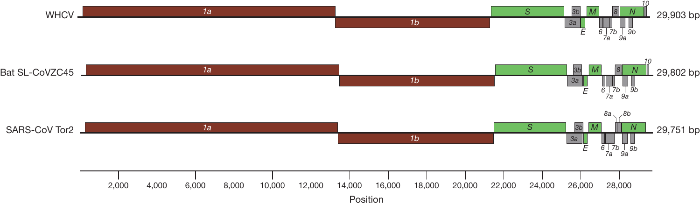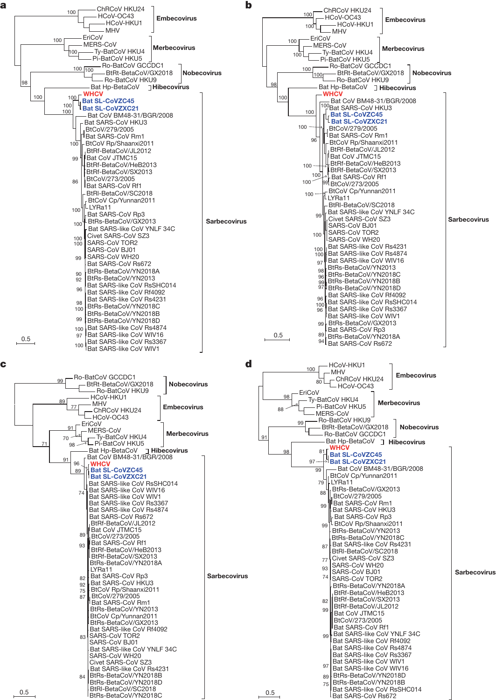